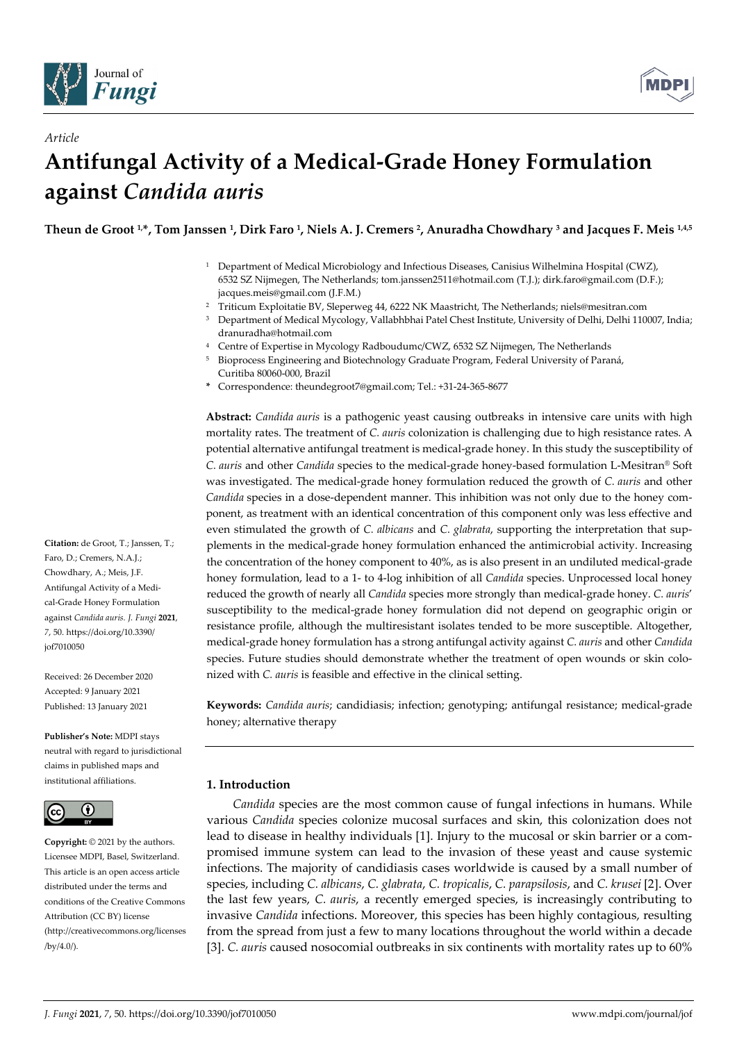

*Article*



# **Antifungal Activity of a Medical-Grade Honey Formulation against** *Candida auris*

**Theun de Groot 1, \*, Tom Janssen 1, Dirk Faro 1, Niels A. J. Cremers 2, Anuradha Chowdhary 3 and Jacques F. Meis 1,4,5**

- <sup>1</sup> Department of Medical Microbiology and Infectious Diseases, Canisius Wilhelmina Hospital (CWZ), 6532 SZ Nijmegen, The Netherlands; tom.janssen2511@hotmail.com (T.J.); dirk.faro@gmail.com (D.F.); jacques.meis@gmail.com (J.F.M.)
- <sup>2</sup> Triticum Exploitatie BV, Sleperweg 44, 6222 NK Maastricht, The Netherlands; niels@mesitran.com
- <sup>3</sup> Department of Medical Mycology, Vallabhbhai Patel Chest Institute, University of Delhi, Delhi 110007, India; dranuradha@hotmail.com
- <sup>4</sup> Centre of Expertise in Mycology Radboudumc/CWZ, 6532 SZ Nijmegen, The Netherlands
- <sup>5</sup> Bioprocess Engineering and Biotechnology Graduate Program, Federal University of Paraná,
- Curitiba 80060-000, Brazil
- **\*** Correspondence: theundegroot7@gmail.com; Tel.: +31-24-365-8677

**Abstract:** *Candida auris* is a pathogenic yeast causing outbreaks in intensive care units with high mortality rates. The treatment of *C. auris* colonization is challenging due to high resistance rates. A potential alternative antifungal treatment is medical-grade honey. In this study the susceptibility of *C. auris* and other *Candida* species to the medical-grade honey-based formulation L-Mesitran® Soft was investigated. The medical-grade honey formulation reduced the growth of *C. auris* and other *Candida* species in a dose-dependent manner. This inhibition was not only due to the honey component, as treatment with an identical concentration of this component only was less effective and even stimulated the growth of *C. albicans* and *C. glabrata*, supporting the interpretation that supplements in the medical-grade honey formulation enhanced the antimicrobial activity. Increasing the concentration of the honey component to 40%, as is also present in an undiluted medical-grade honey formulation, lead to a 1- to 4-log inhibition of all *Candida* species. Unprocessed local honey reduced the growth of nearly all *Candida* species more strongly than medical-grade honey. *C. auris*' susceptibility to the medical-grade honey formulation did not depend on geographic origin or resistance profile, although the multiresistant isolates tended to be more susceptible. Altogether, medical-grade honey formulation has a strong antifungal activity against *C. auris* and other *Candida* species. Future studies should demonstrate whether the treatment of open wounds or skin colonized with *C. auris* is feasible and effective in the clinical setting.

**Keywords:** *Candida auris*; candidiasis; infection; genotyping; antifungal resistance; medical-grade honey; alternative therapy

# **1. Introduction**

*Candida* species are the most common cause of fungal infections in humans. While various *Candida* species colonize mucosal surfaces and skin, this colonization does not lead to disease in healthy individuals [1]. Injury to the mucosal or skin barrier or a compromised immune system can lead to the invasion of these yeast and cause systemic infections. The majority of candidiasis cases worldwide is caused by a small number of species, including *C. albicans*, *C. glabrata*, *C. tropicalis*, *C. parapsilosis*, and *C. krusei* [2]. Over the last few years, *C. auris*, a recently emerged species, is increasingly contributing to invasive *Candida* infections. Moreover, this species has been highly contagious, resulting from the spread from just a few to many locations throughout the world within a decade [3]. *C. auris* caused nosocomial outbreaks in six continents with mortality rates up to 60%

**Citation:** de Groot, T.; Janssen, T.; Faro, D.; Cremers, N.A.J.; Chowdhary, A.; Meis, J.F. Antifungal Activity of a Medical-Grade Honey Formulation against *Candida auris. J. Fungi* **2021**, *7*, 50. https://doi.org/10.3390/ jof7010050

Received: 26 December 2020 Accepted: 9 January 2021 Published: 13 January 2021

**Publisher's Note:** MDPI stays neutral with regard to jurisdictional claims in published maps and institutional affiliations.



**Copyright:** © 2021 by the authors. Licensee MDPI, Basel, Switzerland. This article is an open access article distributed under the terms and conditions of the Creative Commons Attribution (CC BY) license (http://creativecommons.org/licenses /by/4.0/).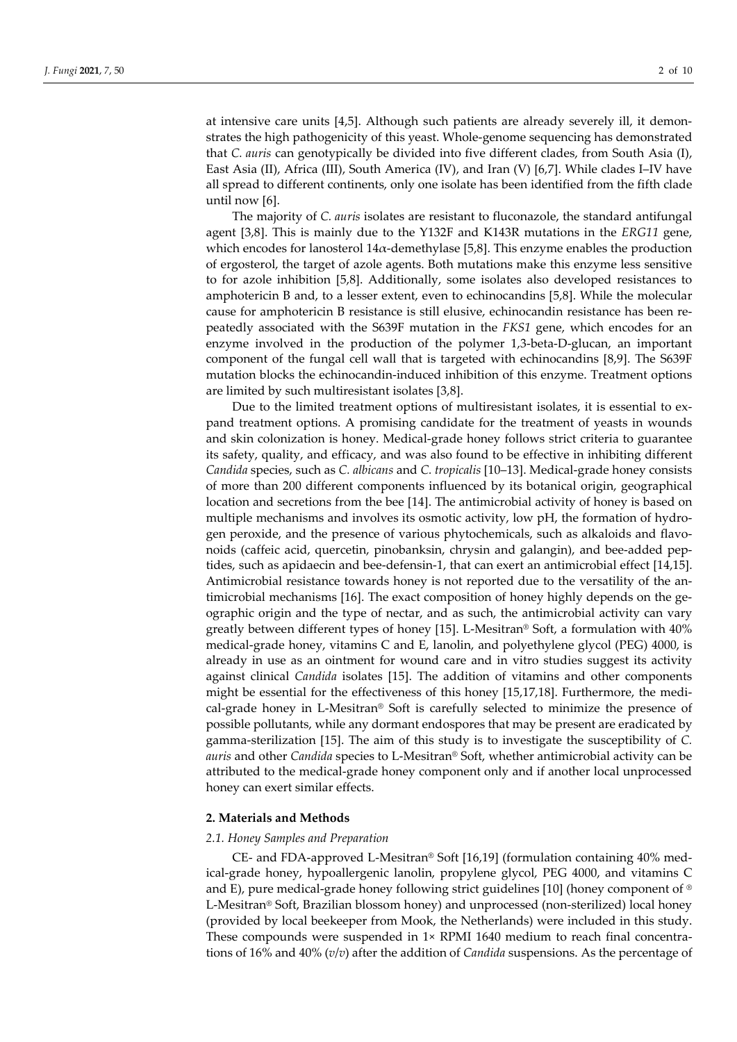at intensive care units [4,5]. Although such patients are already severely ill, it demonstrates the high pathogenicity of this yeast. Whole-genome sequencing has demonstrated that *C. auris* can genotypically be divided into five different clades, from South Asia (I), East Asia (II), Africa (III), South America (IV), and Iran (V) [6,7]. While clades I–IV have all spread to different continents, only one isolate has been identified from the fifth clade until now [6].

The majority of *C. auris* isolates are resistant to fluconazole, the standard antifungal agent [3,8]. This is mainly due to the Y132F and K143R mutations in the *ERG11* gene, which encodes for lanosterol  $14\alpha$ -demethylase [5,8]. This enzyme enables the production of ergosterol, the target of azole agents. Both mutations make this enzyme less sensitive to for azole inhibition [5,8]. Additionally, some isolates also developed resistances to amphotericin B and, to a lesser extent, even to echinocandins [5,8]. While the molecular cause for amphotericin B resistance is still elusive, echinocandin resistance has been repeatedly associated with the S639F mutation in the *FKS1* gene, which encodes for an enzyme involved in the production of the polymer 1,3-beta-D-glucan, an important component of the fungal cell wall that is targeted with echinocandins [8,9]. The S639F mutation blocks the echinocandin-induced inhibition of this enzyme. Treatment options are limited by such multiresistant isolates [3,8].

Due to the limited treatment options of multiresistant isolates, it is essential to expand treatment options. A promising candidate for the treatment of yeasts in wounds and skin colonization is honey. Medical-grade honey follows strict criteria to guarantee its safety, quality, and efficacy, and was also found to be effective in inhibiting different *Candida* species, such as *C. albicans* and *C. tropicalis* [10–13]. Medical-grade honey consists of more than 200 different components influenced by its botanical origin, geographical location and secretions from the bee [14]. The antimicrobial activity of honey is based on multiple mechanisms and involves its osmotic activity, low pH, the formation of hydrogen peroxide, and the presence of various phytochemicals, such as alkaloids and flavonoids (caffeic acid, quercetin, pinobanksin, chrysin and galangin), and bee-added peptides, such as apidaecin and bee-defensin-1, that can exert an antimicrobial effect [14,15]. Antimicrobial resistance towards honey is not reported due to the versatility of the antimicrobial mechanisms [16]. The exact composition of honey highly depends on the geographic origin and the type of nectar, and as such, the antimicrobial activity can vary greatly between different types of honey [15]. L-Mesitran® Soft, a formulation with 40% medical-grade honey, vitamins C and E, lanolin, and polyethylene glycol (PEG) 4000, is already in use as an ointment for wound care and in vitro studies suggest its activity against clinical *Candida* isolates [15]. The addition of vitamins and other components might be essential for the effectiveness of this honey [15,17,18]. Furthermore, the medical-grade honey in L-Mesitran® Soft is carefully selected to minimize the presence of possible pollutants, while any dormant endospores that may be present are eradicated by gamma-sterilization [15]. The aim of this study is to investigate the susceptibility of *C. auris* and other *Candida* species to L-Mesitran® Soft, whether antimicrobial activity can be attributed to the medical-grade honey component only and if another local unprocessed honey can exert similar effects.

# **2. Materials and Methods**

#### *2.1. Honey Samples and Preparation*

CE- and FDA-approved L-Mesitran® Soft [16,19] (formulation containing 40% medical-grade honey, hypoallergenic lanolin, propylene glycol, PEG 4000, and vitamins C and E), pure medical-grade honey following strict guidelines [10] (honey component of ® L-Mesitran® Soft, Brazilian blossom honey) and unprocessed (non-sterilized) local honey (provided by local beekeeper from Mook, the Netherlands) were included in this study. These compounds were suspended in 1× RPMI 1640 medium to reach final concentrations of 16% and 40% (*v*/*v*) after the addition of *Candida* suspensions. As the percentage of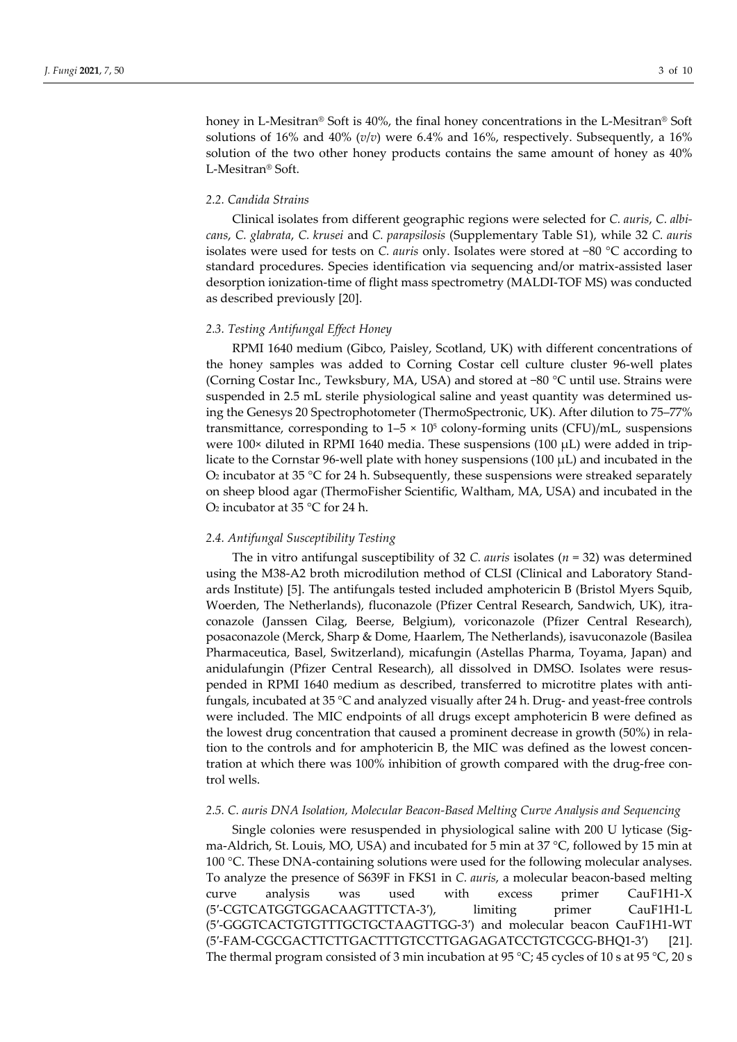honey in L-Mesitran® Soft is 40%, the final honey concentrations in the L-Mesitran® Soft solutions of 16% and 40% (*v*/*v*) were 6.4% and 16%, respectively. Subsequently, a 16% solution of the two other honey products contains the same amount of honey as 40% L-Mesitran® Soft.

# *2.2. Candida Strains*

Clinical isolates from different geographic regions were selected for *C. auris*, *C. albicans*, *C. glabrata*, *C. krusei* and *C. parapsilosis* (Supplementary Table S1), while 32 *C. auris* isolates were used for tests on *C. auris* only. Isolates were stored at −80 °C according to standard procedures. Species identification via sequencing and/or matrix-assisted laser desorption ionization-time of flight mass spectrometry (MALDI-TOF MS) was conducted as described previously [20].

## *2.3. Testing Antifungal Effect Honey*

RPMI 1640 medium (Gibco, Paisley, Scotland, UK) with different concentrations of the honey samples was added to Corning Costar cell culture cluster 96-well plates (Corning Costar Inc., Tewksbury, MA, USA) and stored at −80 °C until use. Strains were suspended in 2.5 mL sterile physiological saline and yeast quantity was determined using the Genesys 20 Spectrophotometer (ThermoSpectronic, UK). After dilution to 75–77% transmittance, corresponding to  $1-5 \times 10^5$  colony-forming units (CFU)/mL, suspensions were  $100 \times$  diluted in RPMI 1640 media. These suspensions  $(100 \mu L)$  were added in triplicate to the Cornstar 96-well plate with honey suspensions (100  $\mu$ L) and incubated in the  $O<sub>2</sub>$  incubator at 35 °C for 24 h. Subsequently, these suspensions were streaked separately on sheep blood agar (ThermoFisher Scientific, Waltham, MA, USA) and incubated in the O2 incubator at 35 °C for 24 h.

# *2.4. Antifungal Susceptibility Testing*

The in vitro antifungal susceptibility of 32 *C. auris* isolates (*n* = 32) was determined using the M38-A2 broth microdilution method of CLSI (Clinical and Laboratory Standards Institute) [5]. The antifungals tested included amphotericin B (Bristol Myers Squib, Woerden, The Netherlands), fluconazole (Pfizer Central Research, Sandwich, UK), itraconazole (Janssen Cilag, Beerse, Belgium), voriconazole (Pfizer Central Research), posaconazole (Merck, Sharp & Dome, Haarlem, The Netherlands), isavuconazole (Basilea Pharmaceutica, Basel, Switzerland), micafungin (Astellas Pharma, Toyama, Japan) and anidulafungin (Pfizer Central Research), all dissolved in DMSO. Isolates were resuspended in RPMI 1640 medium as described, transferred to microtitre plates with antifungals, incubated at 35 °C and analyzed visually after 24 h. Drug- and yeast-free controls were included*.* The MIC endpoints of all drugs except amphotericin B were defined as the lowest drug concentration that caused a prominent decrease in growth (50%) in relation to the controls and for amphotericin B, the MIC was defined as the lowest concentration at which there was 100% inhibition of growth compared with the drug-free control wells.

#### *2.5. C. auris DNA Isolation, Molecular Beacon-Based Melting Curve Analysis and Sequencing*

Single colonies were resuspended in physiological saline with 200 U lyticase (Sigma-Aldrich, St. Louis, MO, USA) and incubated for 5 min at 37 °C, followed by 15 min at 100 °C. These DNA-containing solutions were used for the following molecular analyses. To analyze the presence of S639F in FKS1 in *C. auris*, a molecular beacon-based melting curve analysis was used with excess primer CauF1H1-X (5′-CGTCATGGTGGACAAGTTTCTA-3′), limiting primer CauF1H1-L (5′-GGGTCACTGTGTTTGCTGCTAAGTTGG-3′) and molecular beacon CauF1H1-WT (5′-FAM-CGCGACTTCTTGACTTTGTCCTTGAGAGATCCTGTCGCG-BHQ1-3′) [21]. The thermal program consisted of 3 min incubation at 95 °C; 45 cycles of 10 s at 95 °C, 20 s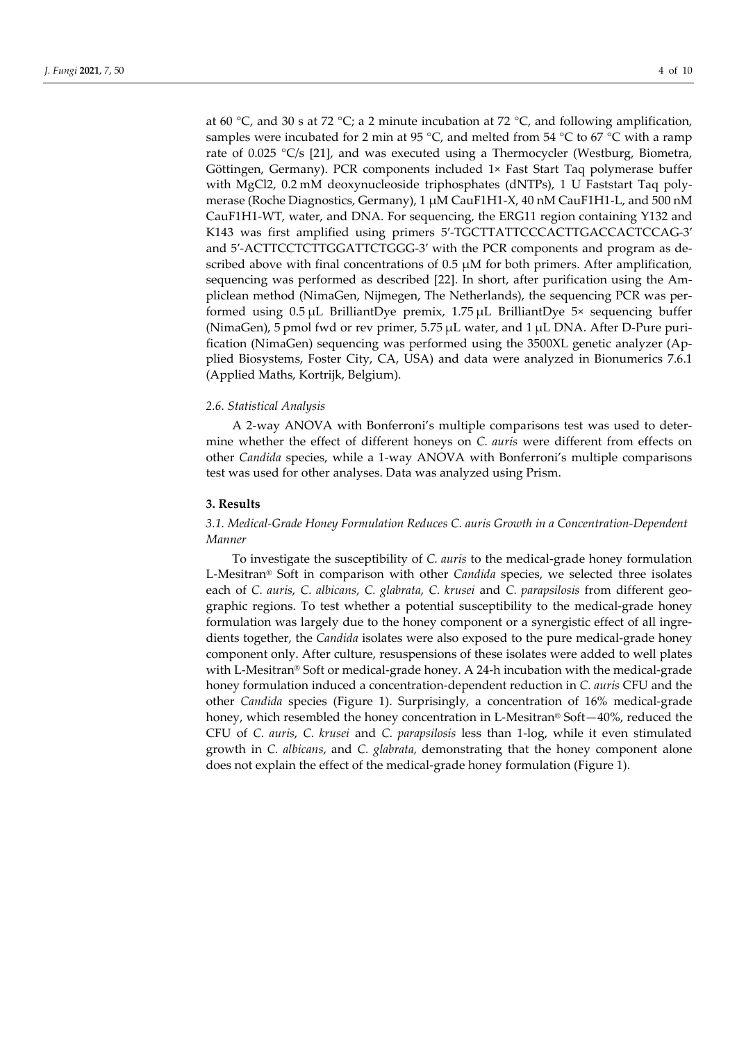at 60 °C, and 30 s at 72 °C; a 2 minute incubation at 72 °C, and following amplification, samples were incubated for 2 min at 95 °C, and melted from 54 °C to 67 °C with a ramp rate of 0.025 °C/s [21], and was executed using a Thermocycler (Westburg, Biometra, Göttingen, Germany). PCR components included 1× Fast Start Taq polymerase buffer with MgCl2, 0.2 mM deoxynucleoside triphosphates (dNTPs), 1 U Faststart Taq polymerase (Roche Diagnostics, Germany), 1 µM CauF1H1-X, 40 nM CauF1H1-L, and 500 nM CauF1H1-WT, water, and DNA. For sequencing, the ERG11 region containing Y132 and K143 was first amplified using primers 5′-TGCTTATTCCCACTTGACCACTCCAG-3′ and 5′-ACTTCCTCTTGGATTCTGGG-3′ with the PCR components and program as described above with final concentrations of  $0.5 \mu M$  for both primers. After amplification, sequencing was performed as described [22]. In short, after purification using the Ampliclean method (NimaGen, Nijmegen, The Netherlands), the sequencing PCR was performed using  $0.5 \mu L$  BrilliantDye premix,  $1.75 \mu L$  BrilliantDye  $5 \times$  sequencing buffer (NimaGen), 5 pmol fwd or rev primer, 5.75 µL water, and 1 µL DNA. After D-Pure purification (NimaGen) sequencing was performed using the 3500XL genetic analyzer (Applied Biosystems, Foster City, CA, USA) and data were analyzed in Bionumerics 7.6.1 (Applied Maths, Kortrijk, Belgium).

#### *2.6. Statistical Analysis*

A 2-way ANOVA with Bonferroni's multiple comparisons test was used to determine whether the effect of different honeys on *C. auris* were different from effects on other *Candida* species, while a 1-way ANOVA with Bonferroni's multiple comparisons test was used for other analyses. Data was analyzed using Prism.

#### **3. Results**

# *3.1. Medical-Grade Honey Formulation Reduces C. auris Growth in a Concentration-Dependent Manner*

To investigate the susceptibility of *C. auris* to the medical-grade honey formulation L-Mesitran® Soft in comparison with other *Candida* species, we selected three isolates each of *C. auris*, *C. albicans*, *C. glabrata*, *C. krusei* and *C. parapsilosis* from different geographic regions. To test whether a potential susceptibility to the medical-grade honey formulation was largely due to the honey component or a synergistic effect of all ingredients together, the *Candida* isolates were also exposed to the pure medical-grade honey component only. After culture, resuspensions of these isolates were added to well plates with L-Mesitran® Soft or medical-grade honey. A 24-h incubation with the medical-grade honey formulation induced a concentration-dependent reduction in *C. auris* CFU and the other *Candida* species (Figure 1). Surprisingly, a concentration of 16% medical-grade honey, which resembled the honey concentration in L-Mesitran® Soft—40%, reduced the CFU of *C. auris*, *C. krusei* and *C. parapsilosis* less than 1-log, while it even stimulated growth in *C. albicans*, and *C. glabrata,* demonstrating that the honey component alone does not explain the effect of the medical-grade honey formulation (Figure 1).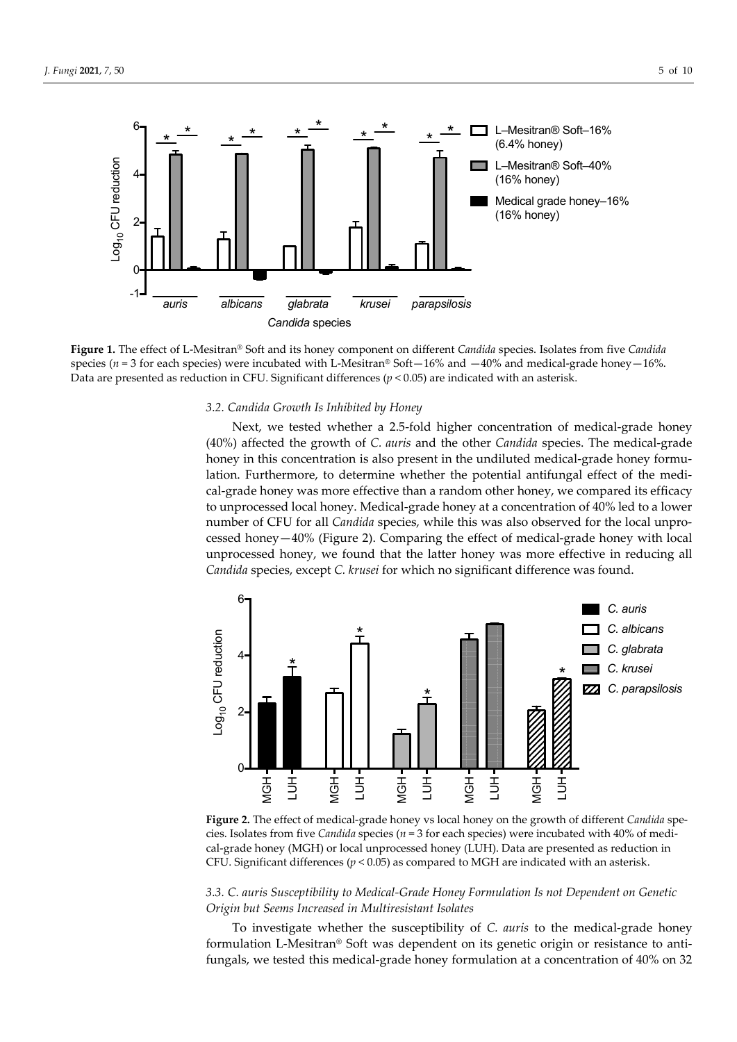

**Figure 1.** The effect of L-Mesitran® Soft and its honey component on different *Candida* species. Isolates from five *Candida* species ( $n = 3$  for each species) were incubated with L-Mesitran® Soft $-16\%$  and  $-40\%$  and medical-grade honey $-16\%$ . Data are presented as reduction in CFU. Significant differences  $(p < 0.05)$  are indicated with an asterisk.

#### *3.2. Candida Growth Is Inhibited by Honey*

Next, we tested whether a 2.5-fold higher concentration of medical-grade honey (40%) affected the growth of *C. auris* and the other *Candida* species. The medical-grade honey in this concentration is also present in the undiluted medical-grade honey formulation. Furthermore, to determine whether the potential antifungal effect of the medical-grade honey was more effective than a random other honey, we compared its efficacy to unprocessed local honey. Medical-grade honey at a concentration of 40% led to a lower number of CFU for all *Candida* species, while this was also observed for the local unprocessed honey—40% (Figure 2). Comparing the effect of medical-grade honey with local unprocessed honey, we found that the latter honey was more effective in reducing all *Candida* species, except *C. krusei* for which no significant difference was found.



**Figure 2.** The effect of medical-grade honey vs local honey on the growth of different *Candida* species. Isolates from five *Candida* species ( $n = 3$  for each species) were incubated with 40% of medical-grade honey (MGH) or local unprocessed honey (LUH). Data are presented as reduction in CFU. Significant differences (*p* < 0.05) as compared to MGH are indicated with an asterisk.

# *3.3. C. auris Susceptibility to Medical-Grade Honey Formulation Is not Dependent on Genetic Origin but Seems Increased in Multiresistant Isolates*

To investigate whether the susceptibility of *C. auris* to the medical-grade honey formulation L-Mesitran® Soft was dependent on its genetic origin or resistance to antifungals, we tested this medical-grade honey formulation at a concentration of 40% on 32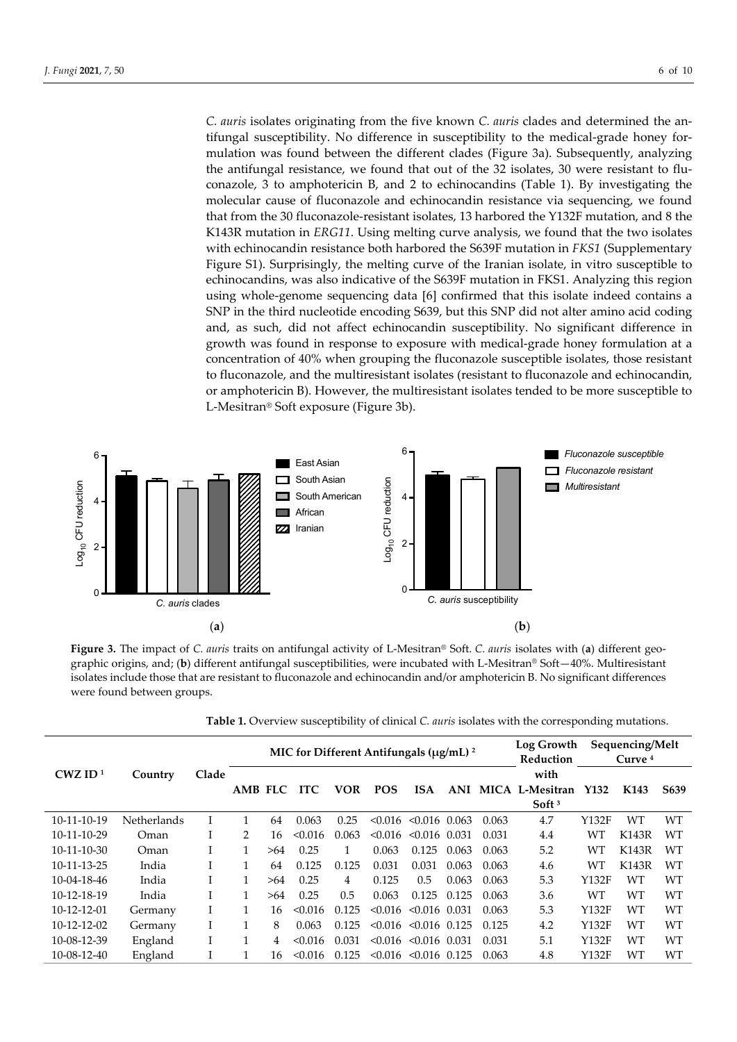*C. auris* isolates originating from the five known *C. auris* clades and determined the antifungal susceptibility. No difference in susceptibility to the medical-grade honey formulation was found between the different clades (Figure 3a). Subsequently, analyzing the antifungal resistance, we found that out of the 32 isolates, 30 were resistant to fluconazole, 3 to amphotericin B, and 2 to echinocandins (Table 1). By investigating the molecular cause of fluconazole and echinocandin resistance via sequencing, we found that from the 30 fluconazole-resistant isolates, 13 harbored the Y132F mutation, and 8 the K143R mutation in *ERG11*. Using melting curve analysis, we found that the two isolates with echinocandin resistance both harbored the S639F mutation in *FKS1* (Supplementary Figure S1). Surprisingly, the melting curve of the Iranian isolate, in vitro susceptible to echinocandins, was also indicative of the S639F mutation in FKS1. Analyzing this region using whole-genome sequencing data [6] confirmed that this isolate indeed contains a SNP in the third nucleotide encoding S639, but this SNP did not alter amino acid coding and, as such, did not affect echinocandin susceptibility. No significant difference in growth was found in response to exposure with medical-grade honey formulation at a concentration of 40% when grouping the fluconazole susceptible isolates, those resistant to fluconazole, and the multiresistant isolates (resistant to fluconazole and echinocandin, or amphotericin B). However, the multiresistant isolates tended to be more susceptible to L-Mesitran® Soft exposure (Figure 3b).



**Figure 3.** The impact of *C. auris* traits on antifungal activity of L-Mesitran® Soft. *C. auris* isolates with (**a**) different geographic origins, and; (**b**) different antifungal susceptibilities, were incubated with L-Mesitran® Soft—40%. Multiresistant isolates include those that are resistant to fluconazole and echinocandin and/or amphotericin B. No significant differences were found between groups.

|  |  |  | Table 1. Overview susceptibility of clinical C. auris isolates with the corresponding mutations |
|--|--|--|-------------------------------------------------------------------------------------------------|
|--|--|--|-------------------------------------------------------------------------------------------------|

|                       |                    |       |                |     | MIC for Different Antifungals ( $\mu$ g/mL) <sup>2</sup> |            | Log Growth<br>Reduction |                                 | Sequencing/Melt<br>Curve $4$ |             |                                 |       |                  |                   |
|-----------------------|--------------------|-------|----------------|-----|----------------------------------------------------------|------------|-------------------------|---------------------------------|------------------------------|-------------|---------------------------------|-------|------------------|-------------------|
| $CWZ$ ID <sup>1</sup> | Country            | Clade |                |     |                                                          |            |                         |                                 |                              |             | with                            |       |                  |                   |
|                       |                    |       | <b>AMB FLC</b> |     | <b>ITC</b>                                               | <b>VOR</b> | <b>POS</b>              | <b>ISA</b>                      | ANI                          | <b>MICA</b> | L-Mesitran<br>Soft <sup>3</sup> | Y132  | K <sub>143</sub> | S <sub>6</sub> 39 |
| 10-11-10-19           | <b>Netherlands</b> |       | 1              | 64  | 0.063                                                    | 0.25       |                         | $< 0.016$ $< 0.016$ 0.063       |                              | 0.063       | 4.7                             | Y132F | WТ               | <b>WT</b>         |
| 10-11-10-29           | Oman               |       | $\mathcal{P}$  | 16  | < 0.016                                                  | 0.063      | < 0.016                 | $< 0.016$ 0.031                 |                              | 0.031       | 4.4                             | WТ    | <b>K143R</b>     | WТ                |
| $10-11-10-30$         | Oman               |       |                | >64 | 0.25                                                     |            | 0.063                   | 0.125                           | 0.063                        | 0.063       | 5.2                             | WТ    | K143R            | WТ                |
| 10-11-13-25           | India              |       | 1              | 64  | 0.125                                                    | 0.125      | 0.031                   | 0.031                           | 0.063                        | 0.063       | 4.6                             | WT    | <b>K143R</b>     | WT                |
| $10-04-18-46$         | India              |       |                | >64 | 0.25                                                     | 4          | 0.125                   | 0.5                             | 0.063                        | 0.063       | 5.3                             | Y132F | <b>WT</b>        | WT                |
| 10-12-18-19           | India              |       | 1              | >64 | 0.25                                                     | 0.5        | 0.063                   | 0.125                           | 0.125                        | 0.063       | 3.6                             | WТ    | WT               | WT                |
| $10-12-12-01$         | Germany            |       |                | 16  | < 0.016                                                  | 0.125      |                         | $\leq 0.016$ $\leq 0.016$ 0.031 |                              | 0.063       | 5.3                             | Y132F | WT               | WT                |
| 10-12-12-02           | Germany            |       |                | 8   | 0.063                                                    | 0.125      | < 0.016                 | $< 0.016$ 0.125                 |                              | 0.125       | 4.2                             | Y132F | WТ               | WT                |
| 10-08-12-39           | England            |       |                | 4   | < 0.016                                                  | 0.031      |                         | $< 0.016$ $< 0.016$ 0.031       |                              | 0.031       | 5.1                             | Y132F | WT               | WT                |
| 10-08-12-40           | England            |       |                | 16  | < 0.016                                                  | 0.125      | < 0.016                 | $< 0.016$ 0.125                 |                              | 0.063       | 4.8                             | Y132F | WТ               | WT                |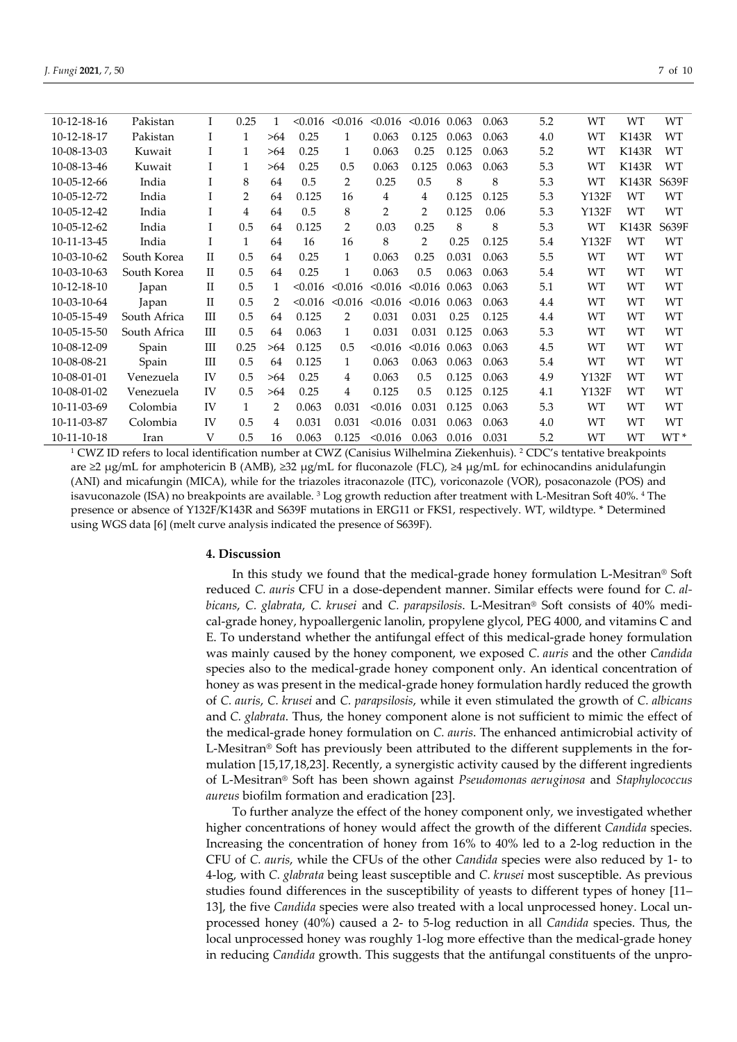| 10-12-18-16 | Pakistan     | I           | 0.25           | 1   | < 0.016 | < 0.016        | < 0.016 | < 0.016        | 0.063 | 0.063 | 5.2 | WT        | <b>WT</b>    | <b>WT</b> |
|-------------|--------------|-------------|----------------|-----|---------|----------------|---------|----------------|-------|-------|-----|-----------|--------------|-----------|
| 10-12-18-17 | Pakistan     | I           | 1              | >64 | 0.25    | 1              | 0.063   | 0.125          | 0.063 | 0.063 | 4.0 | WT        | <b>K143R</b> | <b>WT</b> |
| 10-08-13-03 | Kuwait       |             | $\mathbf{1}$   | >64 | 0.25    | 1              | 0.063   | 0.25           | 0.125 | 0.063 | 5.2 | WT        | K143R        | WТ        |
| 10-08-13-46 | Kuwait       | I           | 1              | >64 | 0.25    | 0.5            | 0.063   | 0.125          | 0.063 | 0.063 | 5.3 | WT        | K143R        | <b>WT</b> |
| 10-05-12-66 | India        | Ι           | 8              | 64  | 0.5     | 2              | 0.25    | 0.5            | 8     | 8     | 5.3 | WT        | K143R        | S639F     |
| 10-05-12-72 | India        | 1           | 2              | 64  | 0.125   | 16             | 4       | 4              | 0.125 | 0.125 | 5.3 | Y132F     | <b>WT</b>    | WT        |
| 10-05-12-42 | India        |             | $\overline{4}$ | 64  | 0.5     | 8              | 2       | $\overline{2}$ | 0.125 | 0.06  | 5.3 | Y132F     | WT           | WT        |
| 10-05-12-62 | India        |             | 0.5            | 64  | 0.125   | $\overline{2}$ | 0.03    | 0.25           | 8     | 8     | 5.3 | WT        | K143R        | S639F     |
| 10-11-13-45 | India        |             | $\mathbf{1}$   | 64  | 16      | 16             | 8       | $\overline{2}$ | 0.25  | 0.125 | 5.4 | Y132F     | WT           | WT        |
| 10-03-10-62 | South Korea  | H           | 0.5            | 64  | 0.25    | $\mathbf{1}$   | 0.063   | 0.25           | 0.031 | 0.063 | 5.5 | <b>WT</b> | WT           | WT        |
| 10-03-10-63 | South Korea  | $_{\rm II}$ | 0.5            | 64  | 0.25    | 1              | 0.063   | 0.5            | 0.063 | 0.063 | 5.4 | WT        | WT           | WT        |
| 10-12-18-10 | Japan        | П           | 0.5            | 1   | < 0.016 | < 0.016        | < 0.016 | < 0.016        | 0.063 | 0.063 | 5.1 | <b>WT</b> | WT           | <b>WT</b> |
| 10-03-10-64 | Japan        | $_{\rm II}$ | 0.5            | 2   | < 0.016 | < 0.016        | < 0.016 | < 0.016        | 0.063 | 0.063 | 4.4 | WT        | WT           | WТ        |
| 10-05-15-49 | South Africa | Ш           | 0.5            | 64  | 0.125   | 2              | 0.031   | 0.031          | 0.25  | 0.125 | 4.4 | WT        | WT           | WT        |
| 10-05-15-50 | South Africa | Ш           | 0.5            | 64  | 0.063   | $\mathbf{1}$   | 0.031   | 0.031          | 0.125 | 0.063 | 5.3 | <b>WT</b> | <b>WT</b>    | <b>WT</b> |
| 10-08-12-09 | Spain        | Ш           | 0.25           | >64 | 0.125   | 0.5            | < 0.016 | < 0.016        | 0.063 | 0.063 | 4.5 | WT        | WT           | WT        |
| 10-08-08-21 | Spain        | Ш           | 0.5            | 64  | 0.125   | $\mathbf{1}$   | 0.063   | 0.063          | 0.063 | 0.063 | 5.4 | <b>WT</b> | <b>WT</b>    | WT        |
| 10-08-01-01 | Venezuela    | IV          | 0.5            | >64 | 0.25    | 4              | 0.063   | 0.5            | 0.125 | 0.063 | 4.9 | Y132F     | WT           | WT        |
| 10-08-01-02 | Venezuela    | IV          | 0.5            | >64 | 0.25    | 4              | 0.125   | 0.5            | 0.125 | 0.125 | 4.1 | Y132F     | WT           | WT        |

<sup>1</sup> CWZ ID refers to local identification number at CWZ (Canisius Wilhelmina Ziekenhuis). <sup>2</sup> CDC's tentative breakpoints are ≥2 µg/mL for amphotericin B (AMB), ≥32 µg/mL for fluconazole (FLC), ≥4 µg/mL for echinocandins anidulafungin (ANI) and micafungin (MICA), while for the triazoles itraconazole (ITC), voriconazole (VOR), posaconazole (POS) and isavuconazole (ISA) no breakpoints are available.  $3$  Log growth reduction after treatment with L-Mesitran Soft 40%.  $4$  The presence or absence of Y132F/K143R and S639F mutations in ERG11 or FKS1, respectively. WT, wildtype. \* Determined using WGS data [6] (melt curve analysis indicated the presence of S639F).

10-11-03-69 Colombia IV 1 2 0.063 0.031 <0.016 0.031 0.125 0.063 5.3 WT WT WT 10-11-03-87 Colombia IV 0.5 4 0.031 0.031 <0.016 0.031 0.063 0.063 4.0 WT WT WT 10-11-10-18 Iran V 0.5 16 0.063 0.125 <0.016 0.063 0.016 0.031 5.2 WT WT WT \*

# **4. Discussion**

In this study we found that the medical-grade honey formulation L-Mesitran® Soft reduced *C. auris* CFU in a dose-dependent manner. Similar effects were found for *C. albicans*, *C. glabrata*, *C. krusei* and *C. parapsilosis*. L-Mesitran® Soft consists of 40% medical-grade honey, hypoallergenic lanolin, propylene glycol, PEG 4000, and vitamins C and E. To understand whether the antifungal effect of this medical-grade honey formulation was mainly caused by the honey component, we exposed *C. auris* and the other *Candida* species also to the medical-grade honey component only. An identical concentration of honey as was present in the medical-grade honey formulation hardly reduced the growth of *C. auris*, *C. krusei* and *C. parapsilosis*, while it even stimulated the growth of *C. albicans* and *C. glabrata*. Thus, the honey component alone is not sufficient to mimic the effect of the medical-grade honey formulation on *C. auris*. The enhanced antimicrobial activity of L-Mesitran® Soft has previously been attributed to the different supplements in the formulation [15,17,18,23]. Recently, a synergistic activity caused by the different ingredients of L-Mesitran® Soft has been shown against *Pseudomonas aeruginosa* and *Staphylococcus aureus* biofilm formation and eradication [23].

To further analyze the effect of the honey component only, we investigated whether higher concentrations of honey would affect the growth of the different *Candida* species. Increasing the concentration of honey from 16% to 40% led to a 2-log reduction in the CFU of *C. auris*, while the CFUs of the other *Candida* species were also reduced by 1- to 4-log, with *C. glabrata* being least susceptible and *C. krusei* most susceptible. As previous studies found differences in the susceptibility of yeasts to different types of honey [11– 13], the five *Candida* species were also treated with a local unprocessed honey. Local unprocessed honey (40%) caused a 2- to 5-log reduction in all *Candida* species. Thus, the local unprocessed honey was roughly 1-log more effective than the medical-grade honey in reducing *Candida* growth. This suggests that the antifungal constituents of the unpro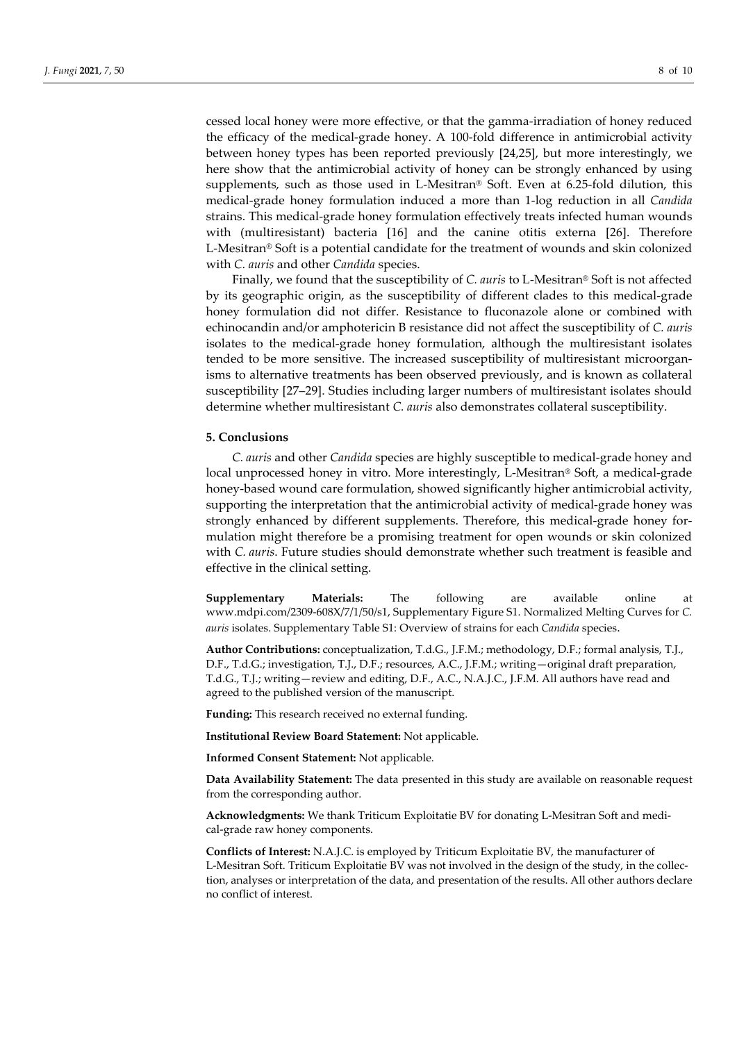cessed local honey were more effective, or that the gamma-irradiation of honey reduced the efficacy of the medical-grade honey. A 100-fold difference in antimicrobial activity between honey types has been reported previously [24,25], but more interestingly, we here show that the antimicrobial activity of honey can be strongly enhanced by using supplements, such as those used in L-Mesitran® Soft. Even at 6.25-fold dilution, this medical-grade honey formulation induced a more than 1-log reduction in all *Candida* strains. This medical-grade honey formulation effectively treats infected human wounds with (multiresistant) bacteria [16] and the canine otitis externa [26]. Therefore L-Mesitran® Soft is a potential candidate for the treatment of wounds and skin colonized with *C. auris* and other *Candida* species.

Finally, we found that the susceptibility of *C. auris* to L-Mesitran® Soft is not affected by its geographic origin, as the susceptibility of different clades to this medical-grade honey formulation did not differ. Resistance to fluconazole alone or combined with echinocandin and/or amphotericin B resistance did not affect the susceptibility of *C. auris* isolates to the medical-grade honey formulation, although the multiresistant isolates tended to be more sensitive. The increased susceptibility of multiresistant microorganisms to alternative treatments has been observed previously, and is known as collateral susceptibility [27–29]. Studies including larger numbers of multiresistant isolates should determine whether multiresistant *C. auris* also demonstrates collateral susceptibility.

#### **5. Conclusions**

*C. auris* and other *Candida* species are highly susceptible to medical-grade honey and local unprocessed honey in vitro. More interestingly, L-Mesitran® Soft, a medical-grade honey-based wound care formulation, showed significantly higher antimicrobial activity, supporting the interpretation that the antimicrobial activity of medical-grade honey was strongly enhanced by different supplements. Therefore, this medical-grade honey formulation might therefore be a promising treatment for open wounds or skin colonized with *C. auris*. Future studies should demonstrate whether such treatment is feasible and effective in the clinical setting.

**Supplementary Materials:** The following are available online at www.mdpi.com/2309-608X/7/1/50/s1, Supplementary Figure S1. Normalized Melting Curves for *C. auris* isolates. Supplementary Table S1: Overview of strains for each *Candida* species.

**Author Contributions:** conceptualization, T.d.G., J.F.M.; methodology, D.F.; formal analysis, T.J., D.F., T.d.G.; investigation, T.J., D.F.; resources, A.C., J.F.M.; writing—original draft preparation, T.d.G., T.J.; writing—review and editing, D.F., A.C., N.A.J.C., J.F.M. All authors have read and agreed to the published version of the manuscript.

**Funding:** This research received no external funding.

**Institutional Review Board Statement:** Not applicable.

**Informed Consent Statement:** Not applicable.

**Data Availability Statement:** The data presented in this study are available on reasonable request from the corresponding author.

**Acknowledgments:** We thank Triticum Exploitatie BV for donating L-Mesitran Soft and medical-grade raw honey components.

**Conflicts of Interest:** N.A.J.C. is employed by Triticum Exploitatie BV, the manufacturer of L-Mesitran Soft. Triticum Exploitatie BV was not involved in the design of the study, in the collection, analyses or interpretation of the data, and presentation of the results. All other authors declare no conflict of interest.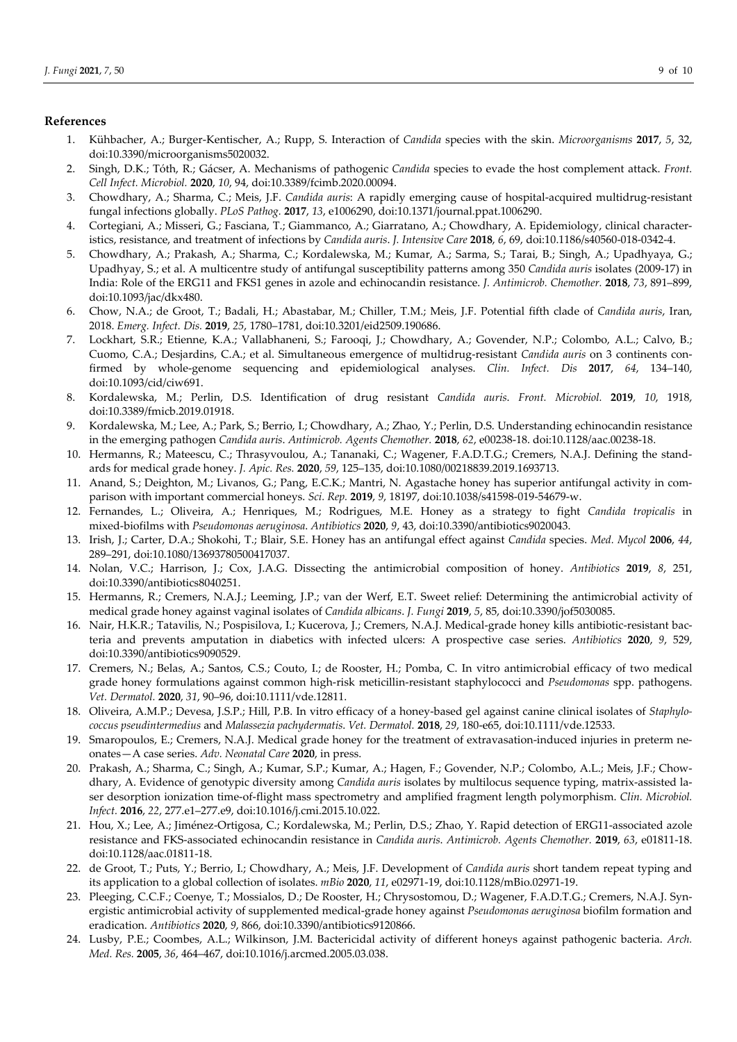## **References**

- 1. Kühbacher, A.; Burger-Kentischer, A.; Rupp, S. Interaction of *Candida* species with the skin. *Microorganisms* **2017**, *5*, 32, doi:10.3390/microorganisms5020032.
- 2. Singh, D.K.; Tóth, R.; Gácser, A. Mechanisms of pathogenic *Candida* species to evade the host complement attack. *Front. Cell Infect. Microbiol.* **2020**, *10*, 94, doi:10.3389/fcimb.2020.00094.
- 3. Chowdhary, A.; Sharma, C.; Meis, J.F. *Candida auris*: A rapidly emerging cause of hospital-acquired multidrug-resistant fungal infections globally. *PLoS Pathog.* **2017**, *13*, e1006290, doi:10.1371/journal.ppat.1006290.
- 4. Cortegiani, A.; Misseri, G.; Fasciana, T.; Giammanco, A.; Giarratano, A.; Chowdhary, A. Epidemiology, clinical characteristics, resistance, and treatment of infections by *Candida auris*. *J. Intensive Care* **2018**, *6*, 69, doi:10.1186/s40560-018-0342-4.
- 5. Chowdhary, A.; Prakash, A.; Sharma, C.; Kordalewska, M.; Kumar, A.; Sarma, S.; Tarai, B.; Singh, A.; Upadhyaya, G.; Upadhyay, S.; et al. A multicentre study of antifungal susceptibility patterns among 350 *Candida auris* isolates (2009-17) in India: Role of the ERG11 and FKS1 genes in azole and echinocandin resistance. *J. Antimicrob. Chemother.* **2018**, *73*, 891–899, doi:10.1093/jac/dkx480.
- 6. Chow, N.A.; de Groot, T.; Badali, H.; Abastabar, M.; Chiller, T.M.; Meis, J.F. Potential fifth clade of *Candida auris*, Iran, 2018. *Emerg. Infect. Dis.* **2019**, *25*, 1780–1781, doi:10.3201/eid2509.190686.
- 7. Lockhart, S.R.; Etienne, K.A.; Vallabhaneni, S.; Farooqi, J.; Chowdhary, A.; Govender, N.P.; Colombo, A.L.; Calvo, B.; Cuomo, C.A.; Desjardins, C.A.; et al. Simultaneous emergence of multidrug-resistant *Candida auris* on 3 continents confirmed by whole-genome sequencing and epidemiological analyses. *Clin. Infect. Dis* **2017**, *64*, 134–140, doi:10.1093/cid/ciw691.
- 8. Kordalewska, M.; Perlin, D.S. Identification of drug resistant *Candida auris*. *Front. Microbiol.* **2019**, *10*, 1918, doi:10.3389/fmicb.2019.01918.
- 9. Kordalewska, M.; Lee, A.; Park, S.; Berrio, I.; Chowdhary, A.; Zhao, Y.; Perlin, D.S. Understanding echinocandin resistance in the emerging pathogen *Candida auris*. *Antimicrob. Agents Chemother.* **2018**, *62*, e00238-18. doi:10.1128/aac.00238-18.
- 10. Hermanns, R.; Mateescu, C.; Thrasyvoulou, A.; Tananaki, C.; Wagener, F.A.D.T.G.; Cremers, N.A.J. Defining the standards for medical grade honey. *J. Apic. Res.* **2020**, *59*, 125–135, doi:10.1080/00218839.2019.1693713.
- 11. Anand, S.; Deighton, M.; Livanos, G.; Pang, E.C.K.; Mantri, N. Agastache honey has superior antifungal activity in comparison with important commercial honeys. *Sci. Rep.* **2019**, *9*, 18197, doi:10.1038/s41598-019-54679-w.
- 12. Fernandes, L.; Oliveira, A.; Henriques, M.; Rodrigues, M.E. Honey as a strategy to fight *Candida tropicalis* in mixed-biofilms with *Pseudomonas aeruginosa*. *Antibiotics* **2020**, *9*, 43, doi:10.3390/antibiotics9020043.
- 13. Irish, J.; Carter, D.A.; Shokohi, T.; Blair, S.E. Honey has an antifungal effect against *Candida* species. *Med. Mycol* **2006**, *44*, 289–291, doi:10.1080/13693780500417037.
- 14. Nolan, V.C.; Harrison, J.; Cox, J.A.G. Dissecting the antimicrobial composition of honey. *Antibiotics* **2019**, *8*, 251, doi:10.3390/antibiotics8040251.
- 15. Hermanns, R.; Cremers, N.A.J.; Leeming, J.P.; van der Werf, E.T. Sweet relief: Determining the antimicrobial activity of medical grade honey against vaginal isolates of *Candida albicans*. *J. Fungi* **2019**, *5*, 85, doi:10.3390/jof5030085.
- 16. Nair, H.K.R.; Tatavilis, N.; Pospisilova, I.; Kucerova, J.; Cremers, N.A.J. Medical-grade honey kills antibiotic-resistant bacteria and prevents amputation in diabetics with infected ulcers: A prospective case series. *Antibiotics* **2020**, *9*, 529, doi:10.3390/antibiotics9090529.
- 17. Cremers, N.; Belas, A.; Santos, C.S.; Couto, I.; de Rooster, H.; Pomba, C. In vitro antimicrobial efficacy of two medical grade honey formulations against common high-risk meticillin-resistant staphylococci and *Pseudomonas* spp. pathogens. *Vet. Dermatol.* **2020**, *31*, 90–96, doi:10.1111/vde.12811.
- 18. Oliveira, A.M.P.; Devesa, J.S.P.; Hill, P.B. In vitro efficacy of a honey-based gel against canine clinical isolates of *Staphylococcus pseudintermedius* and *Malassezia pachydermatis*. *Vet. Dermatol.* **2018**, *29*, 180-e65, doi:10.1111/vde.12533.
- 19. Smaropoulos, E.; Cremers, N.A.J. Medical grade honey for the treatment of extravasation-induced injuries in preterm neonates—A case series. *Adv. Neonatal Care* **2020**, in press.
- 20. Prakash, A.; Sharma, C.; Singh, A.; Kumar, S.P.; Kumar, A.; Hagen, F.; Govender, N.P.; Colombo, A.L.; Meis, J.F.; Chowdhary, A. Evidence of genotypic diversity among *Candida auris* isolates by multilocus sequence typing, matrix-assisted laser desorption ionization time-of-flight mass spectrometry and amplified fragment length polymorphism. *Clin. Microbiol. Infect.* **2016**, *22*, 277.e1–277.e9, doi:10.1016/j.cmi.2015.10.022.
- 21. Hou, X.; Lee, A.; Jiménez-Ortigosa, C.; Kordalewska, M.; Perlin, D.S.; Zhao, Y. Rapid detection of ERG11-associated azole resistance and FKS-associated echinocandin resistance in *Candida auris*. *Antimicrob. Agents Chemother.* **2019**, *63*, e01811-18. doi:10.1128/aac.01811-18.
- 22. de Groot, T.; Puts, Y.; Berrio, I.; Chowdhary, A.; Meis, J.F. Development of *Candida auris* short tandem repeat typing and its application to a global collection of isolates. *mBio* **2020**, *11*, e02971-19, doi:10.1128/mBio.02971-19.
- 23. Pleeging, C.C.F.; Coenye, T.; Mossialos, D.; De Rooster, H.; Chrysostomou, D.; Wagener, F.A.D.T.G.; Cremers, N.A.J. Synergistic antimicrobial activity of supplemented medical-grade honey against *Pseudomonas aeruginosa* biofilm formation and eradication. *Antibiotics* **2020**, *9*, 866, doi:10.3390/antibiotics9120866.
- 24. Lusby, P.E.; Coombes, A.L.; Wilkinson, J.M. Bactericidal activity of different honeys against pathogenic bacteria. *Arch. Med. Res.* **2005**, *36*, 464–467, doi:10.1016/j.arcmed.2005.03.038.